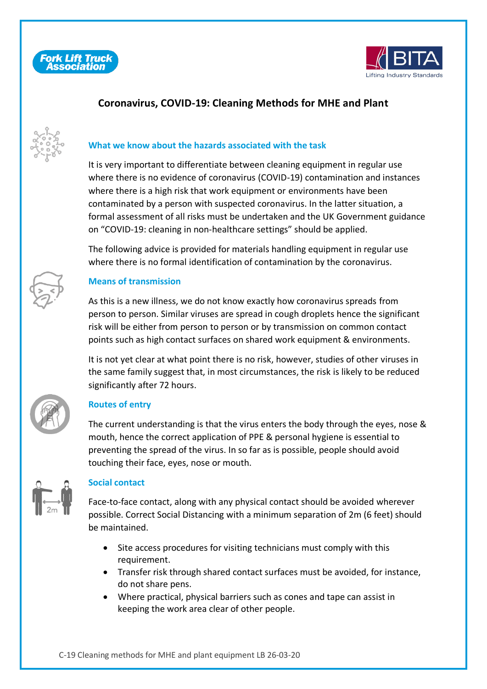



## **Coronavirus, COVID-19: Cleaning Methods for MHE and Plant**



### **What we know about the hazards associated with the task**

It is very important to differentiate between cleaning equipment in regular use where there is no evidence of coronavirus (COVID-19) contamination and instances where there is a high risk that work equipment or environments have been contaminated by a person with suspected coronavirus. In the latter situation, a formal assessment of all risks must be undertaken and the UK Government guidance on "COVID-19: cleaning in non-healthcare settings" should be applied.

The following advice is provided for materials handling equipment in regular use where there is no formal identification of contamination by the coronavirus.



#### **Means of transmission**

As this is a new illness, we do not know exactly how coronavirus spreads from person to person. Similar viruses are spread in cough droplets hence the significant risk will be either from person to person or by transmission on common contact points such as high contact surfaces on shared work equipment & environments.

It is not yet clear at what point there is no risk, however, studies of other viruses in the same family suggest that, in most circumstances, the risk is likely to be reduced significantly after 72 hours.



#### **Routes of entry**

The current understanding is that the virus enters the body through the eyes, nose & mouth, hence the correct application of PPE & personal hygiene is essential to preventing the spread of the virus. In so far as is possible, people should avoid touching their face, eyes, nose or mouth.



#### **Social contact**

Face-to-face contact, along with any physical contact should be avoided wherever possible. Correct Social Distancing with a minimum separation of 2m (6 feet) should be maintained.

- Site access procedures for visiting technicians must comply with this requirement.
- Transfer risk through shared contact surfaces must be avoided, for instance, do not share pens.
- Where practical, physical barriers such as cones and tape can assist in keeping the work area clear of other people.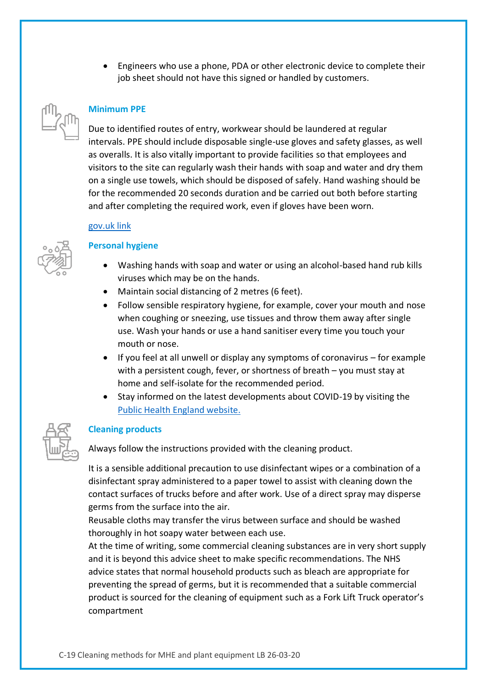• Engineers who use a phone, PDA or other electronic device to complete their job sheet should not have this signed or handled by customers.

#### **Minimum PPE**

Due to identified routes of entry, workwear should be laundered at regular intervals. PPE should include disposable single-use gloves and safety glasses, as well as overalls. It is also vitally important to provide facilities so that employees and visitors to the site can regularly wash their hands with soap and water and dry them on a single use towels, which should be disposed of safely. Hand washing should be for the recommended 20 seconds duration and be carried out both before starting and after completing the required work, even if gloves have been worn.

#### [gov.uk link](https://www.gov.uk/government/publications/covid-19-decontamination-in-non-healthcare-settings/covid-19-decontamination-in-non-healthcare-settings)



#### **Personal hygiene**

- Washing hands with soap and water or using an alcohol-based hand rub kills viruses which may be on the hands.
- Maintain social distancing of 2 metres (6 feet).
- Follow sensible respiratory hygiene, for example, cover your mouth and nose when coughing or sneezing, use tissues and throw them away after single use. Wash your hands or use a hand sanitiser every time you touch your mouth or nose.
- If you feel at all unwell or display any symptoms of coronavirus for example with a persistent cough, fever, or shortness of breath – you must stay at home and self-isolate for the recommended period.
- Stay informed on the latest developments about COVID-19 by visiting the [Public Health England website.](https://www.gov.uk/coronavirus)

#### **Cleaning products**

Always follow the instructions provided with the cleaning product.

It is a sensible additional precaution to use disinfectant wipes or a combination of a disinfectant spray administered to a paper towel to assist with cleaning down the contact surfaces of trucks before and after work. Use of a direct spray may disperse germs from the surface into the air.

Reusable cloths may transfer the virus between surface and should be washed thoroughly in hot soapy water between each use.

At the time of writing, some commercial cleaning substances are in very short supply and it is beyond this advice sheet to make specific recommendations. The NHS advice states that normal household products such as bleach are appropriate for preventing the spread of germs, but it is recommended that a suitable commercial product is sourced for the cleaning of equipment such as a Fork Lift Truck operator's compartment